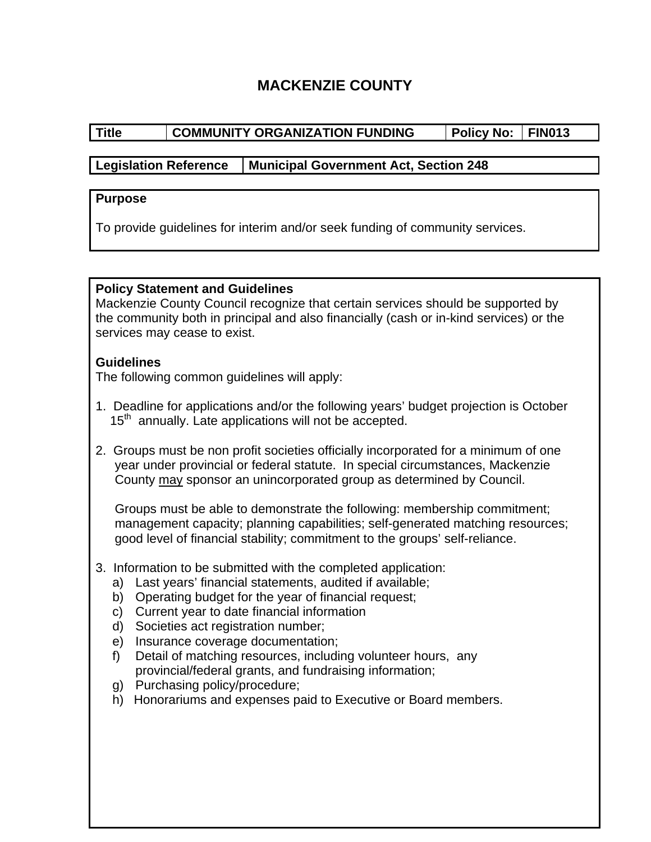# **MACKENZIE COUNTY**

# Title COMMUNITY ORGANIZATION FUNDING Policy No: FIN013

# **Legislation Reference Municipal Government Act, Section 248**

#### **Purpose**

To provide guidelines for interim and/or seek funding of community services.

### **Policy Statement and Guidelines**

Mackenzie County Council recognize that certain services should be supported by the community both in principal and also financially (cash or in-kind services) or the services may cease to exist.

# **Guidelines**

The following common guidelines will apply:

- 1. Deadline for applications and/or the following years' budget projection is October  $15<sup>th</sup>$  annually. Late applications will not be accepted.
- 2. Groups must be non profit societies officially incorporated for a minimum of one year under provincial or federal statute. In special circumstances, Mackenzie County may sponsor an unincorporated group as determined by Council.

Groups must be able to demonstrate the following: membership commitment; management capacity; planning capabilities; self-generated matching resources; good level of financial stability; commitment to the groups' self-reliance.

- 3. Information to be submitted with the completed application:
	- a) Last years' financial statements, audited if available;
	- b) Operating budget for the year of financial request;
	- c) Current year to date financial information
	- d) Societies act registration number;
	- e) Insurance coverage documentation;
	- f) Detail of matching resources, including volunteer hours, any provincial/federal grants, and fundraising information;
	- g) Purchasing policy/procedure;
	- h) Honorariums and expenses paid to Executive or Board members.